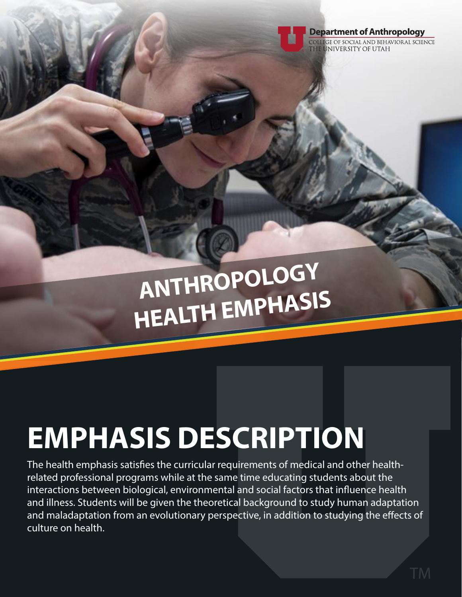

COLLEGE OF SOCIAL AND BEHAVIORAL SCIENCE UNIVERSITY OF UTAH

# **ANTHROPOLOGY HEALTH EMPHASIS**

## **EMPHASIS DESCRIPTION**

The health emphasis satisfies the curricular requirements of medical and other healthrelated professional programs while at the same time educating students about the interactions between biological, environmental and social factors that influence health and illness. Students will be given the theoretical background to study human adaptation and maladaptation from an evolutionary perspective, in addition to studying the effects of culture on health.